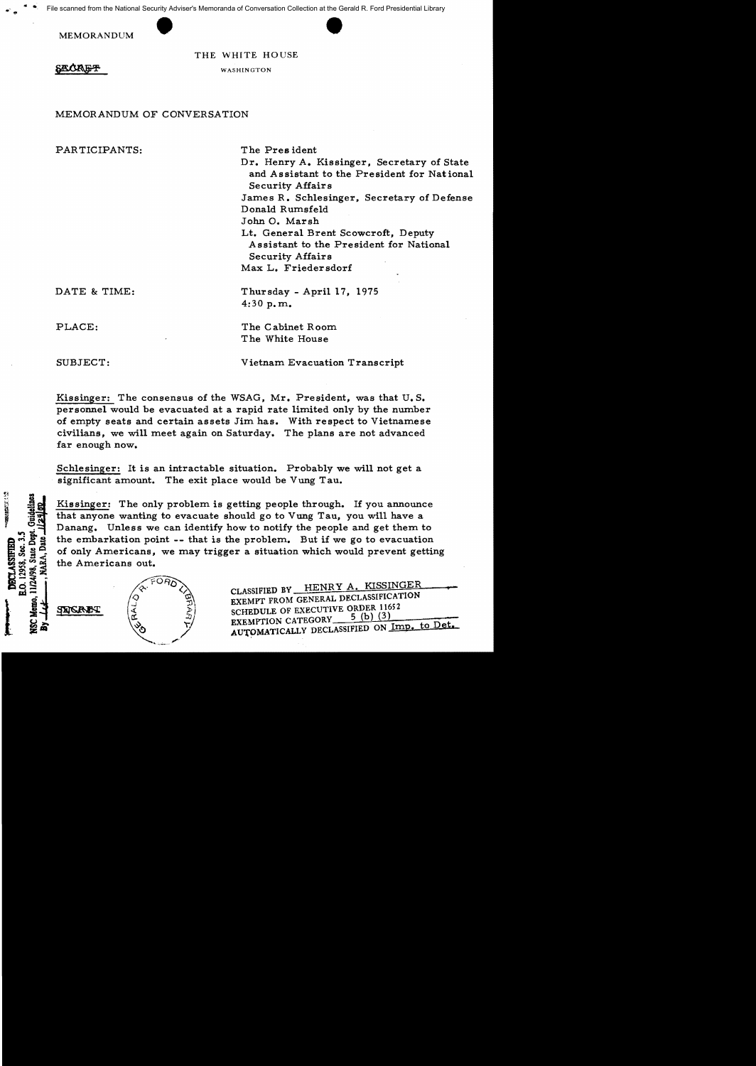$\mathbf{A} = \frac{1}{2} \mathbf{I}$ urity Adviser's Memoranda of Conversation Collection at the Gerald F<br>
THE WHITE HOUSE File scanned from the National Security Adviser's Memoranda of Conversation Collection at the Gerald R. Ford Presidential Library

MEMORANDUM



THE WHITE HOUSE

**SALCIA E-P** 

## WASHINGTON

## MEMORANDUM OF CONVERSATION

PARTICIPANTS: The President Dr. Henry A. Kissinger, Secretary of State and Assistant to the President for National Security Affairs James R. Schlesinger, Secretary of Defense Donald Rumsfeld John O. Marsh Lt. General Brent Scowcroft, Deputy Assistant to the President for National Security Affairs Max L. Friedersdorf DATE & TIME: Thursday - April 17, 1975 4:30 p.m. PLACE: The Cabinet Room The White House SUBJECT: Vietnam Evacuation Transcript

Kissinger: The consensus of the WSAG, Mr. President, was that U. S. personnel would be evacuated at a rapid rate limited only by the number of empty seats and certain assets Jim has. With respect to Vietnamese civilians, we will meet again on Saturday, The plans are not advanced far enough now.

Schlesinger: It is an intractable situation. Probably we will not get a significant amount. The exit place would be Vung Tau.

Kissinger: The only problem is getting people through. If you announce  $\frac{3}{2}$  that anyone wanting to evacuate should go to Vung Tau, you will have a Danang. Unless we can identify how to notify the people and get them to the embarkation point -- that is the problem. But if we go to evacuation of only Americans, we may trigger a situation which would prevent getting the Americans out.



 $\frac{1}{\sqrt{2}}$ ,  $\frac{1}{\sqrt{2}}$ ,  $\frac{1}{\sqrt{2}}$ ,  $\frac{1}{\sqrt{2}}$ ,  $\frac{1}{\sqrt{2}}$ ,  $\frac{1}{\sqrt{2}}$ ,  $\frac{1}{\sqrt{2}}$ ,  $\frac{1}{\sqrt{2}}$ ,  $\frac{1}{\sqrt{2}}$ ,  $\frac{1}{\sqrt{2}}$ ,  $\frac{1}{\sqrt{2}}$ ,  $\frac{1}{\sqrt{2}}$ ,  $\frac{1}{\sqrt{2}}$ ,  $\frac{1}{\sqrt{2}}$ ,  $\frac{1}{\sqrt{2}}$ ,  $\frac{1}{\sqrt{2}}$ 

 $0.12958.$  Sec. 3. **IRCT.ASSIFIED** 

CLASSIFIED BY HENRY A. KISSINGER EXEMPT FROM GENERAL DECLASSIFICATION SCHEDULE OF EXECUTIVE ORDER 11652 EXEMPTION CATEGORy' \_\_5~(b~)u.:(3~)::--\_-;-::~~ AUTPMATICALLY DECLASSIFIED ON Imp. to Det.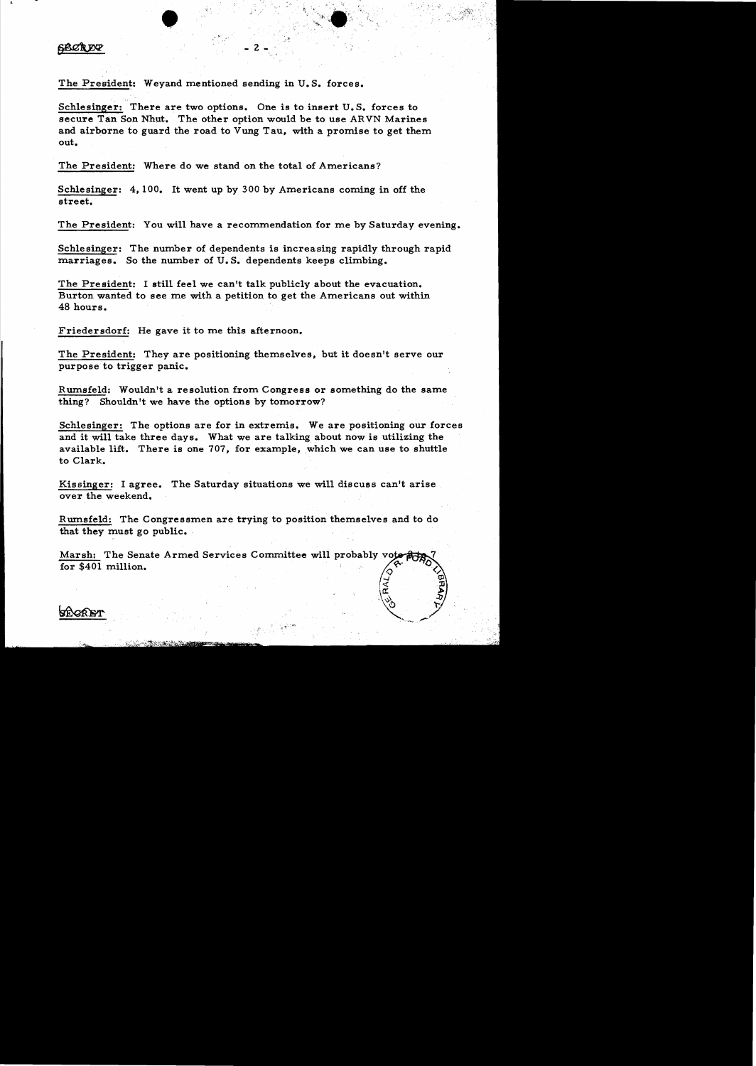## **6ACREY**

The President: Weyand mentioned sending in U.S. forces.

Schlesinger: There are two options. One is to insert U.S. forces to secure Tan Son Nhut. The other option would be to use ARVN Marines and airborne to guard the road to Vung Tau, with a promise to get them. out.

 $\bullet$  ,  $\bullet$  ,  $\bullet$  ,  $\bullet$  ,  $\bullet$  ,  $\bullet$  ,  $\bullet$  ,  $\bullet$  ,  $\bullet$  ,  $\bullet$  ,  $\bullet$  ,  $\bullet$  ,  $\bullet$  ,  $\bullet$  ,  $\bullet$  ,  $\bullet$  ,  $\bullet$  ,  $\bullet$  ,  $\bullet$  ,  $\bullet$  ,  $\bullet$  ,  $\bullet$  ,  $\bullet$  ,  $\bullet$  ,  $\bullet$  ,  $\bullet$  ,  $\bullet$  ,  $\bullet$  ,  $\bullet$  ,  $\bullet$  ,  $\bullet$  ,  $\bullet$ 

- 2 -

The President: Where do we stand on the total of Americans?

Schlesinger:  $4.100$ . It went up by 300 by Americans coming in off the street.

The President: You will have a recommendation for me by Saturday evening.

Schlesinger: The number of dependents is increasing rapidly through rapid marriages. So the number of  $U$ . S. dependents keeps climbing.

The President: I still feel we can't talk publicly about the evacuation. Burton wanted to see me with a petition to get the Americans out within 48 hours.

Friedersdorf: He gave it to me this afternoon.

The President: They are positioning themselves, but it doesn't serve our purpose to trigger panic.

Rumsfeld: Wouldn't a resolution from Congress or something do the same thing? Shouldn't we have the options by tomorrow?

Schlesinger: The options are for in extremis. We are positioning our forces and it will take three days. What we are talking about now is utilizing the available lift. There is one  $707$ , for example, which we can use to shuttle to Clark.

Kissinger: I agree. The Saturday situations we will discuss can't arise over the weekend.

Rumsfeld: The Congressmen are trying to position themselves and to do that they must go public.

Marsh: The Senate Armed Services Committee will probably vot for  $$401$  million.

> -J  $\mathcal{L}_{\mathcal{L}_{\mathcal{L}}}$  $\sim$

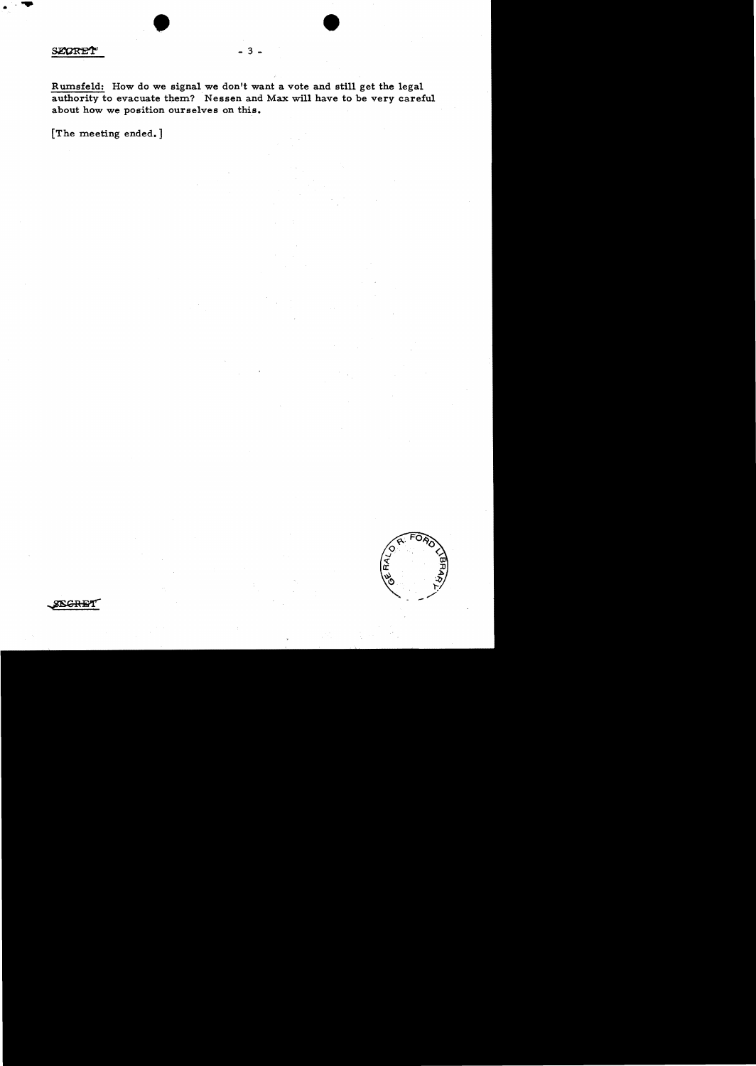$\frac{\text{secent}}{\text{secent}}$  ...

Rumsfeld: How do we signal we don't want a vote and still get the legal authority to evacuate them? Nessen and Max will have to be very careful about how we position ourselves on this.

 $\overline{\mathbf{3}}$ 

[The meeting ended.]



**ISGRET**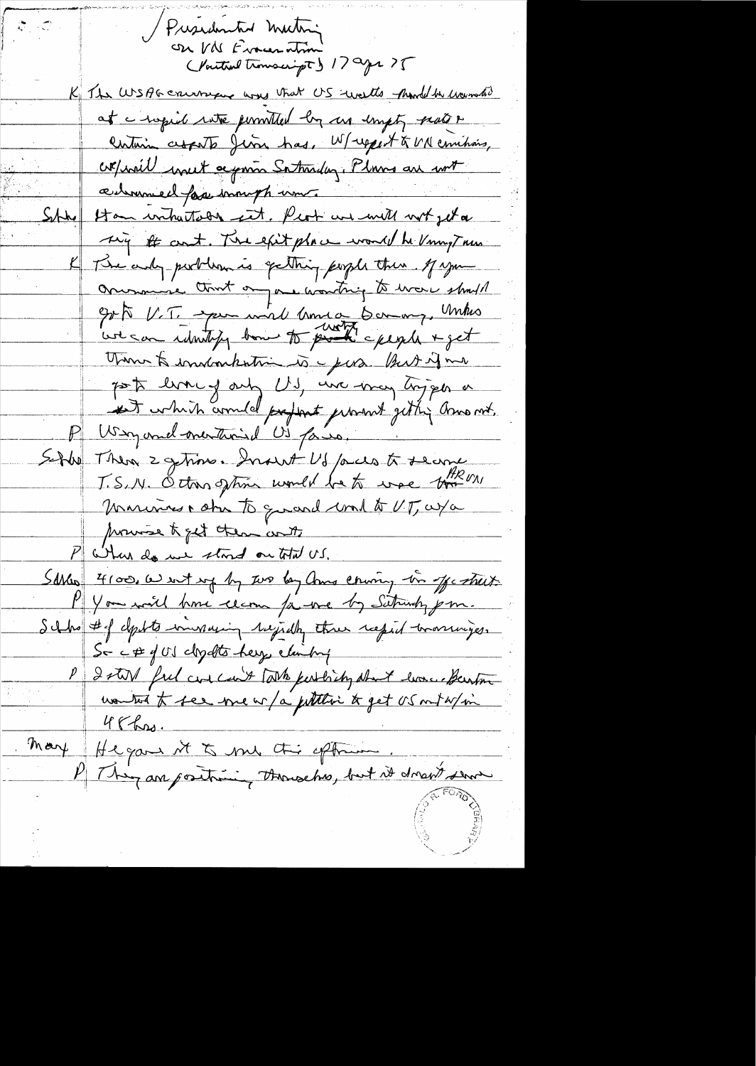Presidented Mathias 17 age 25 K The WSAG cruisser was that US welts hand to warmated at a hopid rate pointed by us impty parts & centurin cropato June has, W/report & UN comitions, copposit unet accommo Saturday. Plans are writ admiral for immight um Han withatson set. Prot we will not get a  $S_{1}$  the This it can't. The exit place would be Uning True The only portlown is getting people then of you Orinaire tout on are wanting to ware should Est V.T. spen wird Umra Bernary, Unker Think to indonkntime is purs. But if me post livery only US, we may hopper a ist which armed preferat promot getting amount. P Way and mentained US pais. Sette Then 2 getime. Insent US pares to second J.S. N. Octons gran would be to use them moninus , star To grand comment VT, as a provise to get them with P When do use stand on total US. Sakes 4100, a wit up by two bay amo couring in offertil P You will have cean for one by Saturdy pm. Schholt deptte invaring rejidty three result transviges. So c# y US closelts help eliming P 2 stor ful concent take perthing short home benton wonted to see me w/a puttitive to get US on the / vi  $46$  hrs. Mary Hegans it to me this officion. P This are positive, thousand, but it draws serve